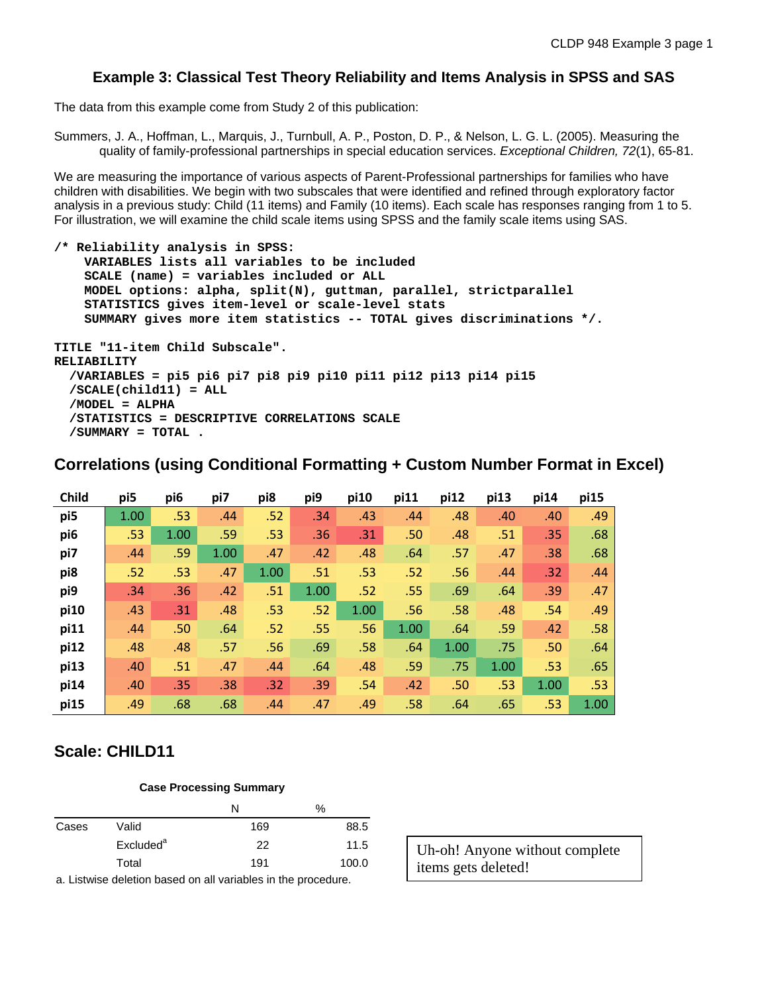### **Example 3: Classical Test Theory Reliability and Items Analysis in SPSS and SAS**

The data from this example come from Study 2 of this publication:

Summers, J. A., Hoffman, L., Marquis, J., Turnbull, A. P., Poston, D. P., & Nelson, L. G. L. (2005). Measuring the quality of family-professional partnerships in special education services. *Exceptional Children, 72*(1), 65-81.

We are measuring the importance of various aspects of Parent-Professional partnerships for families who have children with disabilities. We begin with two subscales that were identified and refined through exploratory factor analysis in a previous study: Child (11 items) and Family (10 items). Each scale has responses ranging from 1 to 5. For illustration, we will examine the child scale items using SPSS and the family scale items using SAS.

```
/* Reliability analysis in SPSS:
     VARIABLES lists all variables to be included
     SCALE (name) = variables included or ALL
     MODEL options: alpha, split(N), guttman, parallel, strictparallel 
     STATISTICS gives item-level or scale-level stats
     SUMMARY gives more item statistics -- TOTAL gives discriminations */.
TITLE "11-item Child Subscale".
RELIABILITY
   /VARIABLES = pi5 pi6 pi7 pi8 pi9 pi10 pi11 pi12 pi13 pi14 pi15
   /SCALE(child11) = ALL
   /MODEL = ALPHA
   /STATISTICS = DESCRIPTIVE CORRELATIONS SCALE
   /SUMMARY = TOTAL .
```
# **Correlations (using Conditional Formatting + Custom Number Format in Excel)**

| <b>Child</b> | pi5  | pi6  | pi7  | pi8  | pi9  | pi10 | pi11 | pi12 | pi13 | pi14 | pi15 |
|--------------|------|------|------|------|------|------|------|------|------|------|------|
| pi5          | 1.00 | .53  | .44  | .52  | .34  | .43  | .44  | .48  | .40  | .40  | .49  |
| pi6          | .53  | 1.00 | .59  | .53  | .36  | .31  | .50  | .48  | .51  | .35  | .68  |
| pi7          | .44  | .59  | 1.00 | .47  | .42  | .48  | .64  | .57  | .47  | .38  | .68  |
| pi8          | .52  | .53  | .47  | 1.00 | .51  | .53  | .52  | .56  | .44  | .32  | .44  |
| pi9          | .34  | .36  | .42  | .51  | 1.00 | .52  | .55  | .69  | .64  | .39  | .47  |
| pi10         | .43  | .31  | .48  | .53  | .52  | 1.00 | .56  | .58  | .48  | .54  | .49  |
| pi11         | .44  | .50  | .64  | .52  | .55  | .56  | 1.00 | .64  | .59  | .42  | .58  |
| pi12         | .48  | .48  | .57  | .56  | .69  | .58  | .64  | 1.00 | .75  | .50  | .64  |
| pi13         | .40  | .51  | .47  | .44  | .64  | .48  | .59  | .75  | 1.00 | .53  | .65  |
| pi14         | .40  | .35  | .38  | .32  | .39  | .54  | .42  | .50  | .53  | 1.00 | .53  |
| pi15         | .49  | .68  | .68  | .44  | .47  | .49  | .58  | .64  | .65  | .53  | 1.00 |

# **Scale: CHILD11**

#### **Case Processing Summary**

|       |                       | N   | %     |
|-------|-----------------------|-----|-------|
| Cases | Valid                 | 169 | 88.5  |
|       | Excluded <sup>a</sup> | 22  | 11.5  |
|       | Total                 | 191 | 100.0 |

a. Listwise deletion based on all variables in the procedure.

Uh-oh! Anyone without complete items gets deleted!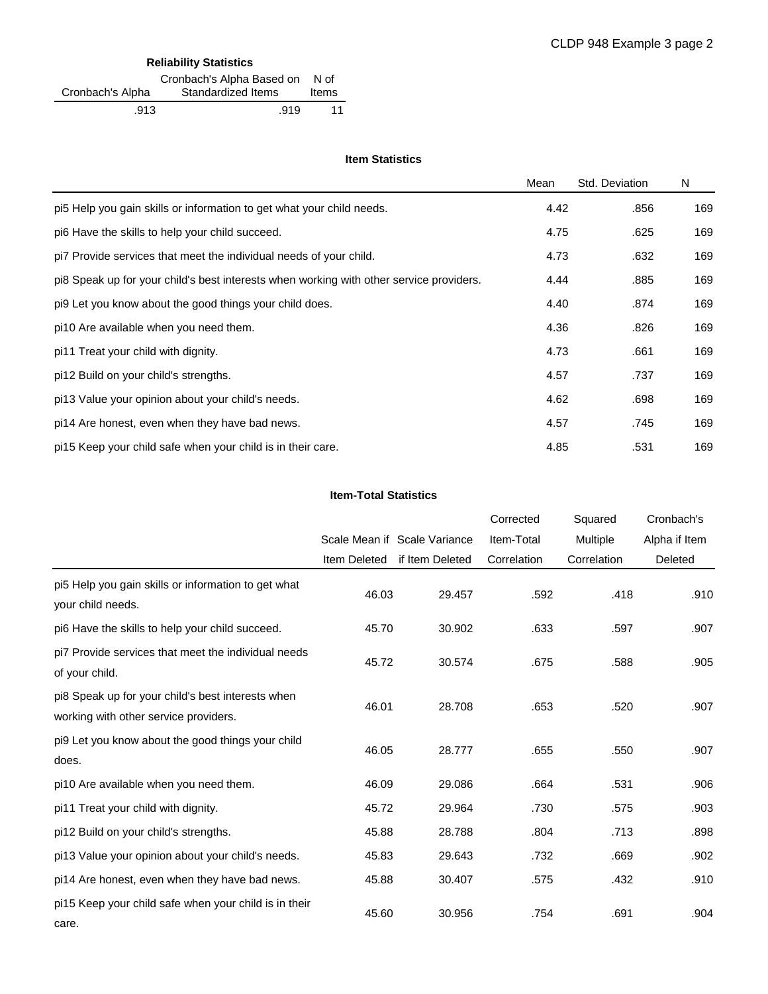### **Reliability Statistics**

|                  | Cronbach's Alpha Based on | N of  |
|------------------|---------------------------|-------|
| Cronbach's Alpha | Standardized Items        | Items |
| .913             | .919                      | 11    |

### **Item Statistics**

|                                                                                         | Mean | Std. Deviation | N   |
|-----------------------------------------------------------------------------------------|------|----------------|-----|
| pi5 Help you gain skills or information to get what your child needs.                   | 4.42 | .856           | 169 |
| pi6 Have the skills to help your child succeed.                                         | 4.75 | .625           | 169 |
| pi7 Provide services that meet the individual needs of your child.                      | 4.73 | .632           | 169 |
| pi8 Speak up for your child's best interests when working with other service providers. | 4.44 | .885           | 169 |
| pi9 Let you know about the good things your child does.                                 | 4.40 | .874           | 169 |
| pi10 Are available when you need them.                                                  | 4.36 | .826           | 169 |
| pi11 Treat your child with dignity.                                                     | 4.73 | .661           | 169 |
| pi12 Build on your child's strengths.                                                   | 4.57 | .737           | 169 |
| pi13 Value your opinion about your child's needs.                                       | 4.62 | .698           | 169 |
| pi14 Are honest, even when they have bad news.                                          | 4.57 | .745           | 169 |
| pi15 Keep your child safe when your child is in their care.                             | 4.85 | .531           | 169 |

### **Item-Total Statistics**

|                                                                                            |              |                              | Corrected   | Squared     | Cronbach's    |
|--------------------------------------------------------------------------------------------|--------------|------------------------------|-------------|-------------|---------------|
|                                                                                            |              | Scale Mean if Scale Variance | Item-Total  | Multiple    | Alpha if Item |
|                                                                                            | Item Deleted | if Item Deleted              | Correlation | Correlation | Deleted       |
| pi5 Help you gain skills or information to get what<br>your child needs.                   | 46.03        | 29.457                       | .592        | .418        | .910          |
| pi6 Have the skills to help your child succeed.                                            | 45.70        | 30.902                       | .633        | .597        | .907          |
| pi7 Provide services that meet the individual needs<br>of your child.                      | 45.72        | 30.574                       | .675        | .588        | .905          |
| pi8 Speak up for your child's best interests when<br>working with other service providers. | 46.01        | 28.708                       | .653        | .520        | .907          |
| pi9 Let you know about the good things your child<br>does.                                 | 46.05        | 28.777                       | .655        | .550        | .907          |
| pi10 Are available when you need them.                                                     | 46.09        | 29.086                       | .664        | .531        | .906          |
| pi11 Treat your child with dignity.                                                        | 45.72        | 29.964                       | .730        | .575        | .903          |
| pi12 Build on your child's strengths.                                                      | 45.88        | 28.788                       | .804        | .713        | .898          |
| pi13 Value your opinion about your child's needs.                                          | 45.83        | 29.643                       | .732        | .669        | .902          |
| pi14 Are honest, even when they have bad news.                                             | 45.88        | 30.407                       | .575        | .432        | .910          |
| pi15 Keep your child safe when your child is in their<br>care.                             | 45.60        | 30.956                       | .754        | .691        | .904          |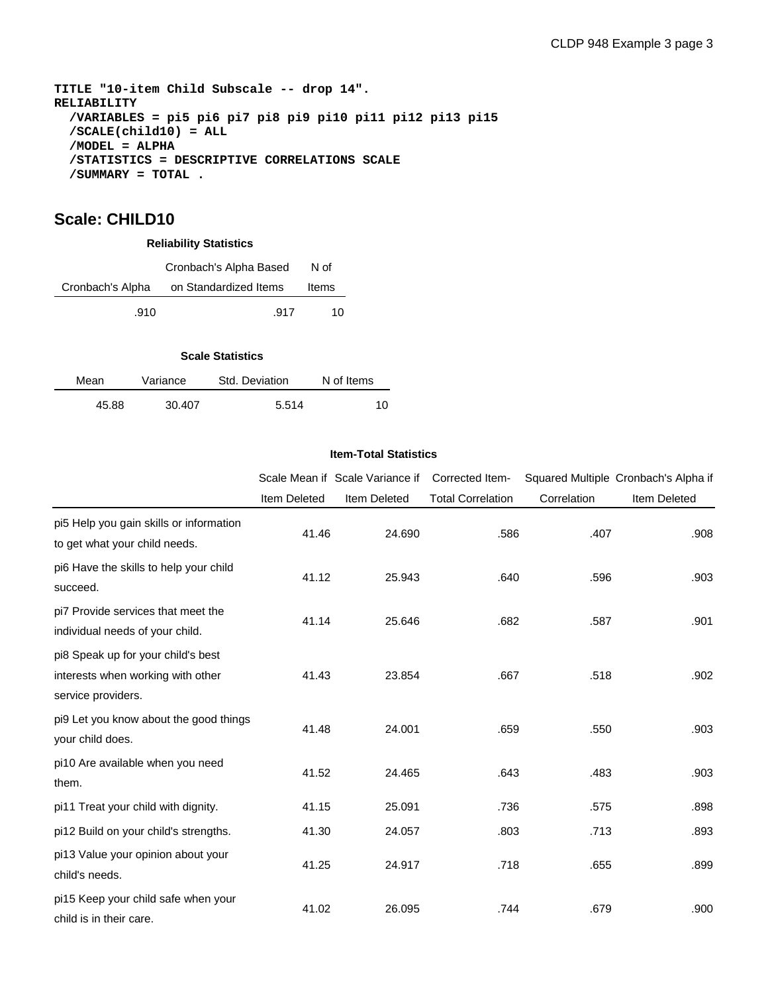**TITLE "10-item Child Subscale -- drop 14". RELIABILITY /VARIABLES = pi5 pi6 pi7 pi8 pi9 pi10 pi11 pi12 pi13 pi15 /SCALE(child10) = ALL /MODEL = ALPHA /STATISTICS = DESCRIPTIVE CORRELATIONS SCALE /SUMMARY = TOTAL .**

# **Scale: CHILD10**

| <b>Reliability Statistics</b> |                        |       |  |  |  |
|-------------------------------|------------------------|-------|--|--|--|
|                               | Cronbach's Alpha Based | N of  |  |  |  |
| Cronbach's Alpha              | on Standardized Items  | Items |  |  |  |
| .910                          | .917                   | 10    |  |  |  |

### **Scale Statistics**

| Mean  | Variance | Std. Deviation | N of Items |  |
|-------|----------|----------------|------------|--|
| 45.88 | 30.407   | 5.514          | 10         |  |

#### **Item-Total Statistics**

|                                                                                               |                     | Scale Mean if Scale Variance if | Corrected Item-          |             | Squared Multiple Cronbach's Alpha if |
|-----------------------------------------------------------------------------------------------|---------------------|---------------------------------|--------------------------|-------------|--------------------------------------|
|                                                                                               | <b>Item Deleted</b> | Item Deleted                    | <b>Total Correlation</b> | Correlation | <b>Item Deleted</b>                  |
| pi5 Help you gain skills or information<br>to get what your child needs.                      | 41.46               | 24.690                          | .586                     | .407        | .908                                 |
| pi6 Have the skills to help your child<br>succeed.                                            | 41.12               | 25.943                          | .640                     | .596        | .903                                 |
| pi7 Provide services that meet the<br>individual needs of your child.                         | 41.14               | 25.646                          | .682                     | .587        | .901                                 |
| pi8 Speak up for your child's best<br>interests when working with other<br>service providers. | 41.43               | 23.854                          | .667                     | .518        | .902                                 |
| pi9 Let you know about the good things<br>your child does.                                    | 41.48               | 24.001                          | .659                     | .550        | .903                                 |
| pi10 Are available when you need<br>them.                                                     | 41.52               | 24.465                          | .643                     | .483        | .903                                 |
| pi11 Treat your child with dignity.                                                           | 41.15               | 25.091                          | .736                     | .575        | .898                                 |
| pi12 Build on your child's strengths.                                                         | 41.30               | 24.057                          | .803                     | .713        | .893                                 |
| pi13 Value your opinion about your<br>child's needs.                                          | 41.25               | 24.917                          | .718                     | .655        | .899                                 |
| pi15 Keep your child safe when your<br>child is in their care.                                | 41.02               | 26.095                          | .744                     | .679        | .900                                 |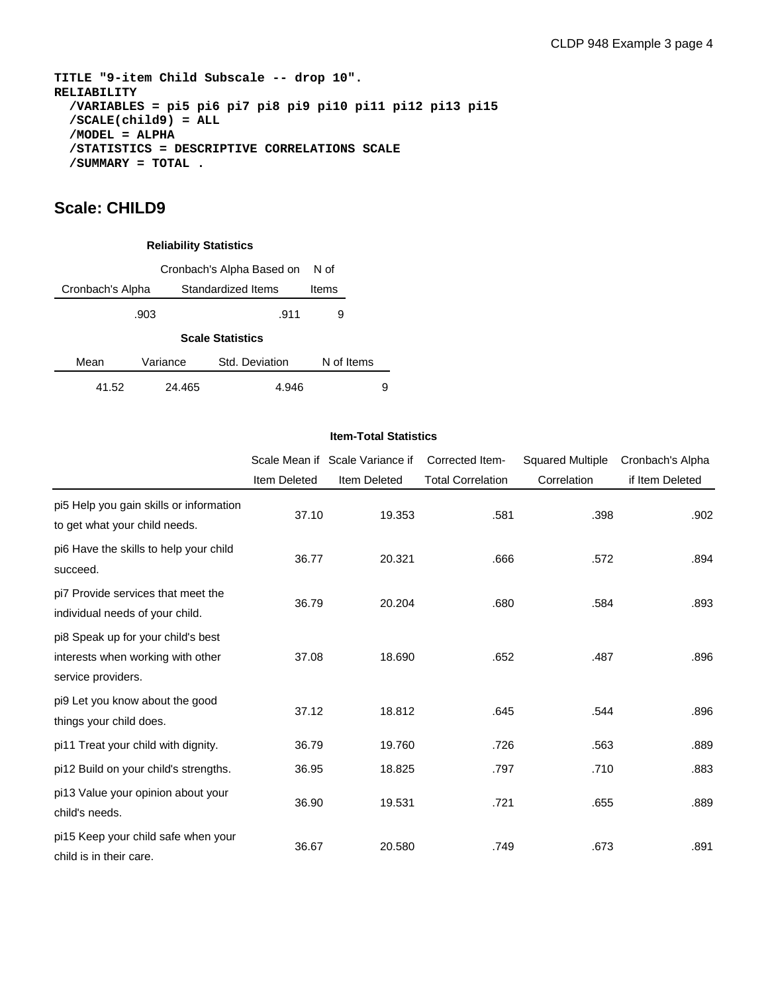**TITLE "9-item Child Subscale -- drop 10". RELIABILITY /VARIABLES = pi5 pi6 pi7 pi8 pi9 pi10 pi11 pi12 pi13 pi15 /SCALE(child9) = ALL /MODEL = ALPHA /STATISTICS = DESCRIPTIVE CORRELATIONS SCALE /SUMMARY = TOTAL .**

# **Scale: CHILD9**

### **Reliability Statistics**

|                  | Cronbach's Alpha Based on |                         |            |   |  |  |  |  |  |
|------------------|---------------------------|-------------------------|------------|---|--|--|--|--|--|
| Cronbach's Alpha |                           | Standardized Items      | Items      |   |  |  |  |  |  |
|                  | .903                      | .911                    | 9          |   |  |  |  |  |  |
|                  |                           | <b>Scale Statistics</b> |            |   |  |  |  |  |  |
| Mean             | Variance                  | Std. Deviation          | N of Items |   |  |  |  |  |  |
| 41.52            | 24.465                    | 4.946                   |            | 9 |  |  |  |  |  |

### **Item-Total Statistics**

|                                                                                               |              | Scale Mean if Scale Variance if | Corrected Item-          | <b>Squared Multiple</b> | Cronbach's Alpha |
|-----------------------------------------------------------------------------------------------|--------------|---------------------------------|--------------------------|-------------------------|------------------|
|                                                                                               | Item Deleted | Item Deleted                    | <b>Total Correlation</b> | Correlation             | if Item Deleted  |
| pi5 Help you gain skills or information<br>to get what your child needs.                      | 37.10        | 19.353                          | .581                     | .398                    | .902             |
| pi6 Have the skills to help your child<br>succeed.                                            | 36.77        | 20.321                          | .666                     | .572                    | .894             |
| pi7 Provide services that meet the<br>individual needs of your child.                         | 36.79        | 20.204                          | .680                     | .584                    | .893             |
| pi8 Speak up for your child's best<br>interests when working with other<br>service providers. | 37.08        | 18.690                          | .652                     | .487                    | .896             |
| pi9 Let you know about the good<br>things your child does.                                    | 37.12        | 18.812                          | .645                     | .544                    | .896             |
| pi11 Treat your child with dignity.                                                           | 36.79        | 19.760                          | .726                     | .563                    | .889             |
| pi12 Build on your child's strengths.                                                         | 36.95        | 18.825                          | .797                     | .710                    | .883             |
| pi13 Value your opinion about your<br>child's needs.                                          | 36.90        | 19.531                          | .721                     | .655                    | .889             |
| pi15 Keep your child safe when your<br>child is in their care.                                | 36.67        | 20.580                          | .749                     | .673                    | .891             |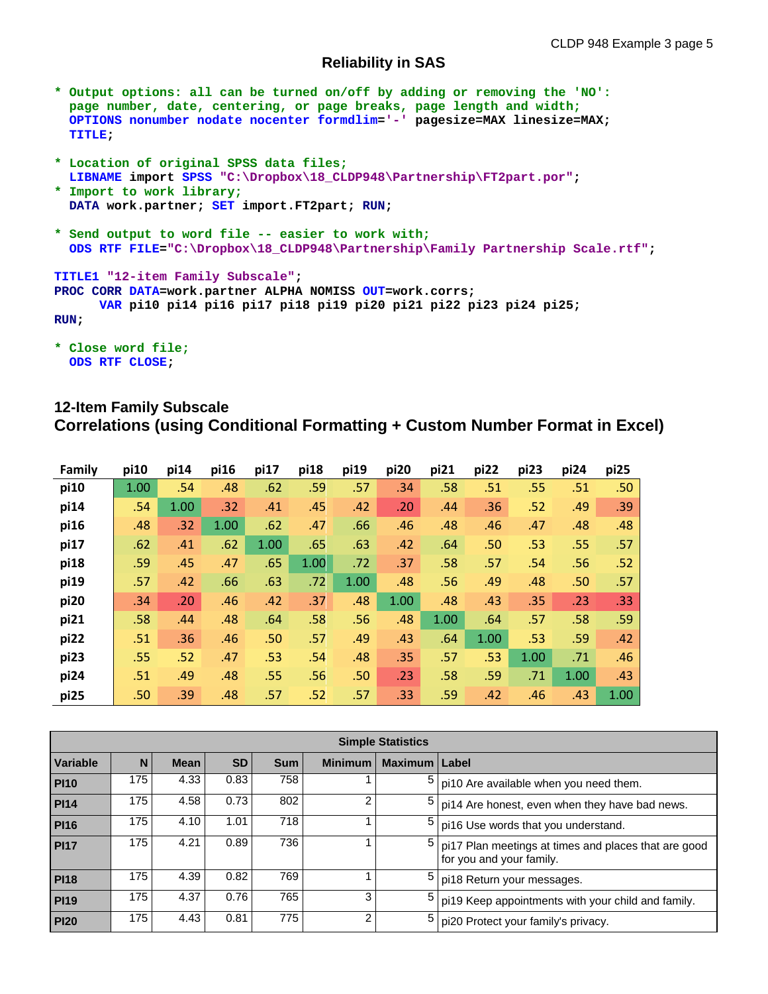### **Reliability in SAS**

- **\* Output options: all can be turned on/off by adding or removing the 'NO': page number, date, centering, or page breaks, page length and width; OPTIONS nonumber nodate nocenter formdlim='-' pagesize=MAX linesize=MAX; TITLE;**
- **\* Location of original SPSS data files; LIBNAME import SPSS "C:\Dropbox\18\_CLDP948\Partnership\FT2part.por";**
- **\* Import to work library; DATA work.partner; SET import.FT2part; RUN;**
- **\* Send output to word file -- easier to work with; ODS RTF FILE="C:\Dropbox\18\_CLDP948\Partnership\Family Partnership Scale.rtf";**

```
TITLE1 "12-item Family Subscale";
PROC CORR DATA=work.partner ALPHA NOMISS OUT=work.corrs;
      VAR pi10 pi14 pi16 pi17 pi18 pi19 pi20 pi21 pi22 pi23 pi24 pi25;
RUN;
```

```
* Close word file;
  ODS RTF CLOSE;
```
# **12-Item Family Subscale Correlations (using Conditional Formatting + Custom Number Format in Excel)**

| Family | pi10 | pi14 | pi16 | pi17 | pi18 | pi19 | pi20 | pi21 | pi22 | pi23 | pi24 | pi25 |
|--------|------|------|------|------|------|------|------|------|------|------|------|------|
| pi10   | 1.00 | .54  | .48  | .62  | .59  | .57  | .34  | .58  | .51  | .55  | .51  | .50  |
| pi14   | .54  | 1.00 | .32  | .41  | .45  | .42  | .20  | .44  | .36  | .52  | .49  | .39  |
| pi16   | .48  | .32  | 1.00 | .62  | .47  | .66  | .46  | .48  | .46  | .47  | .48  | .48  |
| pi17   | .62  | .41  | .62  | 1.00 | .65  | .63  | .42  | .64  | .50  | .53  | .55  | .57  |
| pi18   | .59  | .45  | .47  | .65  | 1.00 | .72  | .37  | .58  | .57  | .54  | .56  | .52  |
| pi19   | .57  | .42  | .66  | .63  | .72  | 1.00 | .48  | .56  | .49  | .48  | .50  | .57  |
| pi20   | .34  | .20  | .46  | .42  | .37  | .48  | 1.00 | .48  | .43  | .35  | .23  | .33  |
| pi21   | .58  | .44  | .48  | .64  | .58  | .56  | .48  | 1.00 | .64  | .57  | .58  | .59  |
| pi22   | .51  | .36  | .46  | .50  | .57  | .49  | .43  | .64  | 1.00 | .53  | .59  | .42  |
| pi23   | .55  | .52  | .47  | .53  | .54  | .48  | .35  | .57  | .53  | 1.00 | .71  | .46  |
| pi24   | .51  | .49  | .48  | .55  | .56  | .50  | .23  | .58  | .59  | .71  | 1.00 | .43  |
| pi25   | .50  | .39  | .48  | .57  | .52  | .57  | .33  | .59  | .42  | .46  | .43  | 1.00 |

|                 | <b>Simple Statistics</b> |             |           |            |                |                |                                                                                  |  |  |  |  |  |  |  |
|-----------------|--------------------------|-------------|-----------|------------|----------------|----------------|----------------------------------------------------------------------------------|--|--|--|--|--|--|--|
| <b>Variable</b> | N                        | <b>Mean</b> | <b>SD</b> | <b>Sum</b> | <b>Minimum</b> | <b>Maximum</b> | Label                                                                            |  |  |  |  |  |  |  |
| <b>PI10</b>     | 175                      | 4.33        | 0.83      | 758        |                | 5              | pi10 Are available when you need them.                                           |  |  |  |  |  |  |  |
| <b>PI14</b>     | 175                      | 4.58        | 0.73      | 802        | 2              | 5              | pi14 Are honest, even when they have bad news.                                   |  |  |  |  |  |  |  |
| <b>PI16</b>     | 175                      | 4.10        | 1.01      | 718        |                | 5              | pi16 Use words that you understand.                                              |  |  |  |  |  |  |  |
| <b>PI17</b>     | 175                      | 4.21        | 0.89      | 736        |                | 5              | pi17 Plan meetings at times and places that are good<br>for you and your family. |  |  |  |  |  |  |  |
| <b>PI18</b>     | 175                      | 4.39        | 0.82      | 769        |                | 5              | pi18 Return your messages.                                                       |  |  |  |  |  |  |  |
| <b>PI19</b>     | 175                      | 4.37        | 0.76      | 765        | 3              | 5              | pi19 Keep appointments with your child and family.                               |  |  |  |  |  |  |  |
| <b>PI20</b>     | 175                      | 4.43        | 0.81      | 775        | 2              | 5              | pi20 Protect your family's privacy.                                              |  |  |  |  |  |  |  |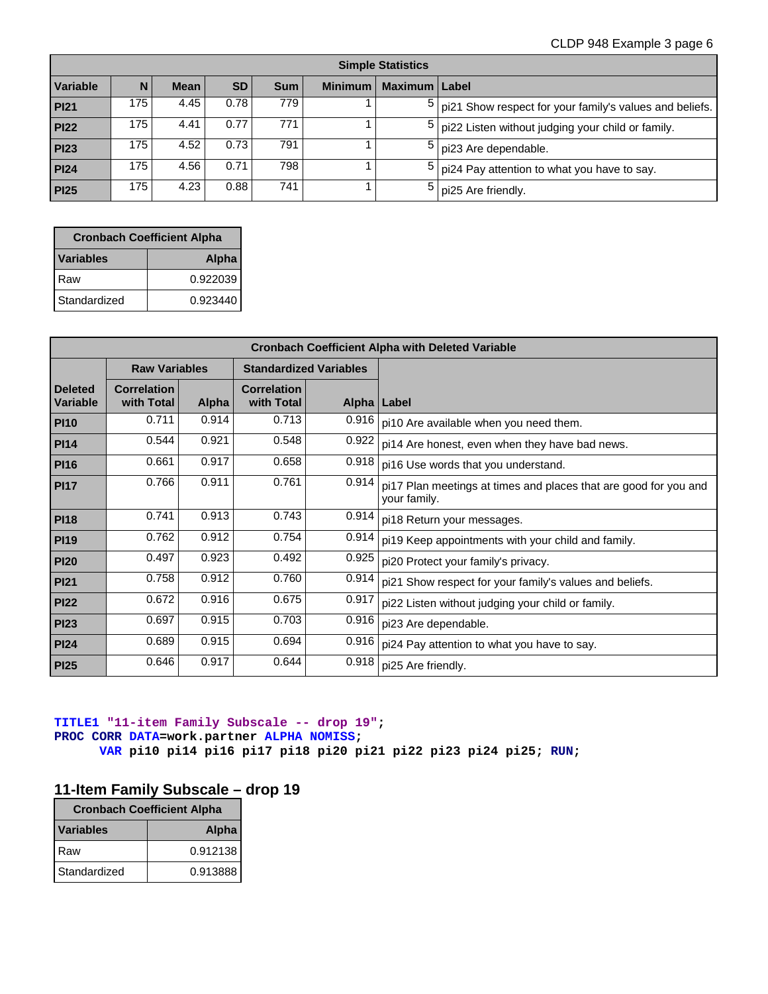### CLDP 948 Example 3 page 6

| <b>Simple Statistics</b> |     |             |           |            |                |                 |                                                         |  |
|--------------------------|-----|-------------|-----------|------------|----------------|-----------------|---------------------------------------------------------|--|
| Variable                 | N   | <b>Mean</b> | <b>SD</b> | <b>Sum</b> | <b>Minimum</b> | Maximum   Label |                                                         |  |
| PI21                     | 175 | 4.45        | 0.78      | 779        |                |                 | pi21 Show respect for your family's values and beliefs. |  |
| <b>PI22</b>              | 175 | 4.41        | 0.77      | 771        |                |                 | pi22 Listen without judging your child or family.       |  |
| <b>PI23</b>              | 175 | 4.52        | 0.73      | 791        |                |                 | pi23 Are dependable.                                    |  |
| PI24                     | 175 | 4.56        | 0.71      | 798        |                |                 | pi24 Pay attention to what you have to say.             |  |
| <b>PI25</b>              | 175 | 4.23        | 0.88      | 741        |                |                 | pi25 Are friendly.                                      |  |

| <b>Cronbach Coefficient Alpha</b> |              |  |  |  |  |
|-----------------------------------|--------------|--|--|--|--|
| <b>Variables</b>                  | <b>Alpha</b> |  |  |  |  |
| Raw                               | 0.922039     |  |  |  |  |
| Standardized                      | 0.923440     |  |  |  |  |

| <b>Cronbach Coefficient Alpha with Deleted Variable</b> |                                  |       |                                  |                               |                                                                                  |  |  |  |
|---------------------------------------------------------|----------------------------------|-------|----------------------------------|-------------------------------|----------------------------------------------------------------------------------|--|--|--|
|                                                         | <b>Raw Variables</b>             |       |                                  | <b>Standardized Variables</b> |                                                                                  |  |  |  |
| <b>Deleted</b><br>Variable                              | <b>Correlation</b><br>with Total | Alpha | <b>Correlation</b><br>with Total |                               | Alpha   Label                                                                    |  |  |  |
| <b>PI10</b>                                             | 0.711                            | 0.914 | 0.713                            | 0.916                         | pi10 Are available when you need them.                                           |  |  |  |
| <b>PI14</b>                                             | 0.544                            | 0.921 | 0.548                            | 0.922                         | pi14 Are honest, even when they have bad news.                                   |  |  |  |
| <b>PI16</b>                                             | 0.661                            | 0.917 | 0.658                            | 0.918                         | pi16 Use words that you understand.                                              |  |  |  |
| <b>PI17</b>                                             | 0.766                            | 0.911 | 0.761                            | 0.914                         | pi17 Plan meetings at times and places that are good for you and<br>your family. |  |  |  |
| <b>PI18</b>                                             | 0.741                            | 0.913 | 0.743                            | 0.914                         | pi18 Return your messages.                                                       |  |  |  |
| <b>PI19</b>                                             | 0.762                            | 0.912 | 0.754                            | 0.914                         | pi19 Keep appointments with your child and family.                               |  |  |  |
| <b>PI20</b>                                             | 0.497                            | 0.923 | 0.492                            | 0.925                         | pi20 Protect your family's privacy.                                              |  |  |  |
| PI21                                                    | 0.758                            | 0.912 | 0.760                            | 0.914                         | pi21 Show respect for your family's values and beliefs.                          |  |  |  |
| <b>PI22</b>                                             | 0.672                            | 0.916 | 0.675                            | 0.917                         | pi22 Listen without judging your child or family.                                |  |  |  |
| <b>PI23</b>                                             | 0.697                            | 0.915 | 0.703                            | 0.916                         | pi23 Are dependable.                                                             |  |  |  |
| <b>PI24</b>                                             | 0.689                            | 0.915 | 0.694                            | 0.916                         | pi24 Pay attention to what you have to say.                                      |  |  |  |
| <b>PI25</b>                                             | 0.646                            | 0.917 | 0.644                            | 0.918                         | pi25 Are friendly.                                                               |  |  |  |

### **TITLE1 "11-item Family Subscale -- drop 19"; PROC CORR DATA=work.partner ALPHA NOMISS; VAR pi10 pi14 pi16 pi17 pi18 pi20 pi21 pi22 pi23 pi24 pi25; RUN;**

# **11-Item Family Subscale – drop 19**

| <b>Cronbach Coefficient Alpha</b> |          |  |  |  |
|-----------------------------------|----------|--|--|--|
| <b>Variables</b>                  | Alpha    |  |  |  |
| Raw                               | 0.912138 |  |  |  |
| Standardized                      | 0.913888 |  |  |  |